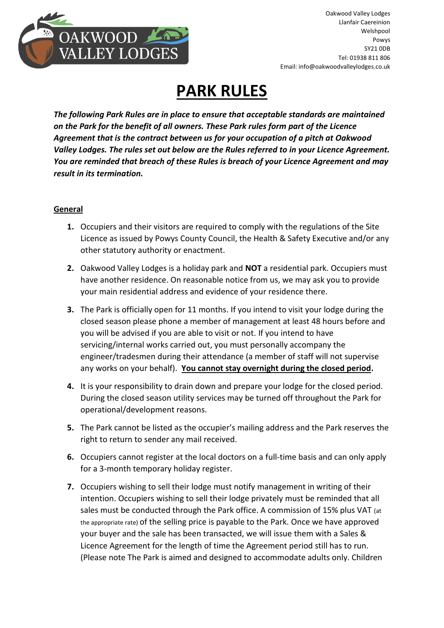

# **PARK RULES**

*The following Park Rules are in place to ensure that acceptable standards are maintained on the Park for the benefit of all owners. These Park rules form part of the Licence Agreement that is the contract between us for your occupation of a pitch at Oakwood Valley Lodges. The rules set out below are the Rules referred to in your Licence Agreement. You are reminded that breach of these Rules is breach of your Licence Agreement and may result in its termination.*

## **General**

- **1.** Occupiers and their visitors are required to comply with the regulations of the Site Licence as issued by Powys County Council, the Health & Safety Executive and/or any other statutory authority or enactment.
- **2.** Oakwood Valley Lodges is a holiday park and **NOT** a residential park. Occupiers must have another residence. On reasonable notice from us, we may ask you to provide your main residential address and evidence of your residence there.
- **3.** The Park is officially open for 11 months. If you intend to visit your lodge during the closed season please phone a member of management at least 48 hours before and you will be advised if you are able to visit or not. If you intend to have servicing/internal works carried out, you must personally accompany the engineer/tradesmen during their attendance (a member of staff will not supervise any works on your behalf). **You cannot stay overnight during the closed period.**
- **4.** It is your responsibility to drain down and prepare your lodge for the closed period. During the closed season utility services may be turned off throughout the Park for operational/development reasons.
- **5.** The Park cannot be listed as the occupier's mailing address and the Park reserves the right to return to sender any mail received.
- **6.** Occupiers cannot register at the local doctors on a full-time basis and can only apply for a 3-month temporary holiday register.
- **7.** Occupiers wishing to sell their lodge must notify management in writing of their intention. Occupiers wishing to sell their lodge privately must be reminded that all sales must be conducted through the Park office. A commission of 15% plus VAT (at the appropriate rate) of the selling price is payable to the Park. Once we have approved your buyer and the sale has been transacted, we will issue them with a Sales & Licence Agreement for the length of time the Agreement period still has to run. (Please note The Park is aimed and designed to accommodate adults only. Children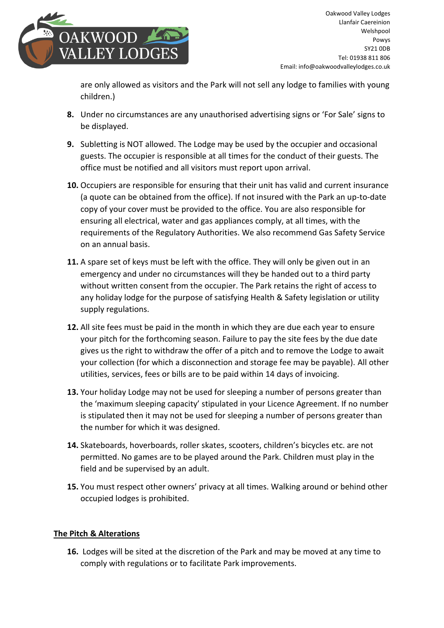

are only allowed as visitors and the Park will not sell any lodge to families with young children.)

- **8.** Under no circumstances are any unauthorised advertising signs or 'For Sale' signs to be displayed.
- **9.** Subletting is NOT allowed. The Lodge may be used by the occupier and occasional guests. The occupier is responsible at all times for the conduct of their guests. The office must be notified and all visitors must report upon arrival.
- **10.** Occupiers are responsible for ensuring that their unit has valid and current insurance (a quote can be obtained from the office). If not insured with the Park an up-to-date copy of your cover must be provided to the office. You are also responsible for ensuring all electrical, water and gas appliances comply, at all times, with the requirements of the Regulatory Authorities. We also recommend Gas Safety Service on an annual basis.
- **11.** A spare set of keys must be left with the office. They will only be given out in an emergency and under no circumstances will they be handed out to a third party without written consent from the occupier. The Park retains the right of access to any holiday lodge for the purpose of satisfying Health & Safety legislation or utility supply regulations.
- **12.** All site fees must be paid in the month in which they are due each year to ensure your pitch for the forthcoming season. Failure to pay the site fees by the due date gives us the right to withdraw the offer of a pitch and to remove the Lodge to await your collection (for which a disconnection and storage fee may be payable). All other utilities, services, fees or bills are to be paid within 14 days of invoicing.
- **13.** Your holiday Lodge may not be used for sleeping a number of persons greater than the 'maximum sleeping capacity' stipulated in your Licence Agreement. If no number is stipulated then it may not be used for sleeping a number of persons greater than the number for which it was designed.
- **14.** Skateboards, hoverboards, roller skates, scooters, children's bicycles etc. are not permitted. No games are to be played around the Park. Children must play in the field and be supervised by an adult.
- **15.** You must respect other owners' privacy at all times. Walking around or behind other occupied lodges is prohibited.

## **The Pitch & Alterations**

**16.** Lodges will be sited at the discretion of the Park and may be moved at any time to comply with regulations or to facilitate Park improvements.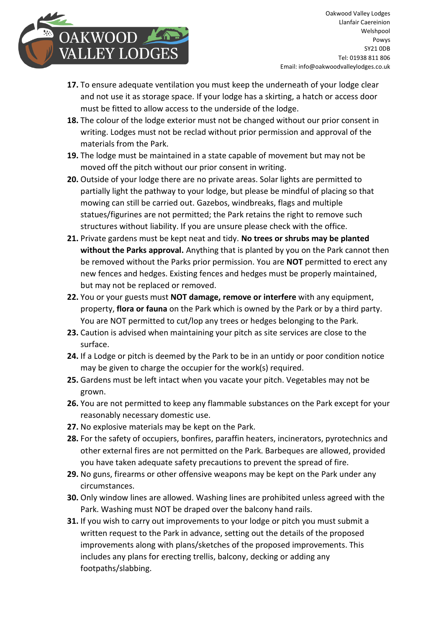

Oakwood Valley Lodges Llanfair Caereinion Welshpool Powys SY21 0DB Tel: 01938 811 806 Email: info@oakwoodvalleylodges.co.uk

- **17.** To ensure adequate ventilation you must keep the underneath of your lodge clear and not use it as storage space. If your lodge has a skirting, a hatch or access door must be fitted to allow access to the underside of the lodge.
- **18.** The colour of the lodge exterior must not be changed without our prior consent in writing. Lodges must not be reclad without prior permission and approval of the materials from the Park.
- **19.** The lodge must be maintained in a state capable of movement but may not be moved off the pitch without our prior consent in writing.
- **20.** Outside of your lodge there are no private areas. Solar lights are permitted to partially light the pathway to your lodge, but please be mindful of placing so that mowing can still be carried out. Gazebos, windbreaks, flags and multiple statues/figurines are not permitted; the Park retains the right to remove such structures without liability. If you are unsure please check with the office.
- **21.** Private gardens must be kept neat and tidy. **No trees or shrubs may be planted without the Parks approval.** Anything that is planted by you on the Park cannot then be removed without the Parks prior permission. You are **NOT** permitted to erect any new fences and hedges. Existing fences and hedges must be properly maintained, but may not be replaced or removed.
- **22.** You or your guests must **NOT damage, remove or interfere** with any equipment, property, **flora or fauna** on the Park which is owned by the Park or by a third party. You are NOT permitted to cut/lop any trees or hedges belonging to the Park.
- **23.** Caution is advised when maintaining your pitch as site services are close to the surface.
- **24.** If a Lodge or pitch is deemed by the Park to be in an untidy or poor condition notice may be given to charge the occupier for the work(s) required.
- **25.** Gardens must be left intact when you vacate your pitch. Vegetables may not be grown.
- **26.** You are not permitted to keep any flammable substances on the Park except for your reasonably necessary domestic use.
- **27.** No explosive materials may be kept on the Park.
- **28.** For the safety of occupiers, bonfires, paraffin heaters, incinerators, pyrotechnics and other external fires are not permitted on the Park. Barbeques are allowed, provided you have taken adequate safety precautions to prevent the spread of fire.
- **29.** No guns, firearms or other offensive weapons may be kept on the Park under any circumstances.
- **30.** Only window lines are allowed. Washing lines are prohibited unless agreed with the Park. Washing must NOT be draped over the balcony hand rails.
- **31.** If you wish to carry out improvements to your lodge or pitch you must submit a written request to the Park in advance, setting out the details of the proposed improvements along with plans/sketches of the proposed improvements. This includes any plans for erecting trellis, balcony, decking or adding any footpaths/slabbing.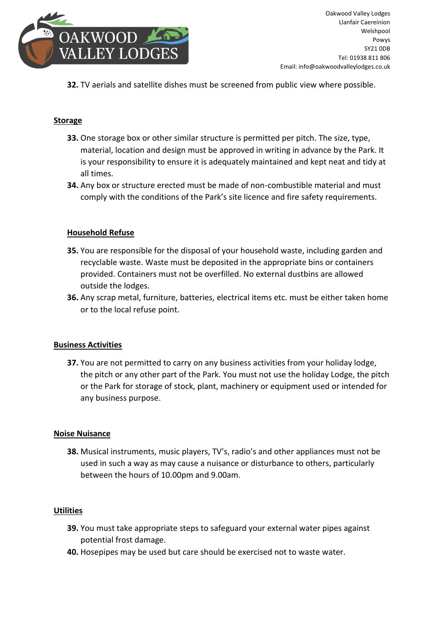

**32.** TV aerials and satellite dishes must be screened from public view where possible.

#### **Storage**

- **33.** One storage box or other similar structure is permitted per pitch. The size, type, material, location and design must be approved in writing in advance by the Park. It is your responsibility to ensure it is adequately maintained and kept neat and tidy at all times.
- **34.** Any box or structure erected must be made of non-combustible material and must comply with the conditions of the Park's site licence and fire safety requirements.

#### **Household Refuse**

- **35.** You are responsible for the disposal of your household waste, including garden and recyclable waste. Waste must be deposited in the appropriate bins or containers provided. Containers must not be overfilled. No external dustbins are allowed outside the lodges.
- **36.** Any scrap metal, furniture, batteries, electrical items etc. must be either taken home or to the local refuse point.

#### **Business Activities**

**37.** You are not permitted to carry on any business activities from your holiday lodge, the pitch or any other part of the Park. You must not use the holiday Lodge, the pitch or the Park for storage of stock, plant, machinery or equipment used or intended for any business purpose.

#### **Noise Nuisance**

**38.** Musical instruments, music players, TV's, radio's and other appliances must not be used in such a way as may cause a nuisance or disturbance to others, particularly between the hours of 10.00pm and 9.00am.

#### **Utilities**

- **39.** You must take appropriate steps to safeguard your external water pipes against potential frost damage.
- **40.** Hosepipes may be used but care should be exercised not to waste water.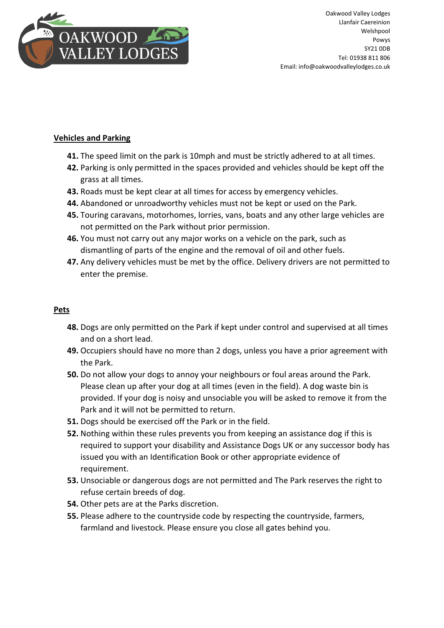

## **Vehicles and Parking**

- **41.** The speed limit on the park is 10mph and must be strictly adhered to at all times.
- **42.** Parking is only permitted in the spaces provided and vehicles should be kept off the grass at all times.
- **43.** Roads must be kept clear at all times for access by emergency vehicles.
- **44.** Abandoned or unroadworthy vehicles must not be kept or used on the Park.
- **45.** Touring caravans, motorhomes, lorries, vans, boats and any other large vehicles are not permitted on the Park without prior permission.
- **46.** You must not carry out any major works on a vehicle on the park, such as dismantling of parts of the engine and the removal of oil and other fuels.
- **47.** Any delivery vehicles must be met by the office. Delivery drivers are not permitted to enter the premise.

### **Pets**

- **48.** Dogs are only permitted on the Park if kept under control and supervised at all times and on a short lead.
- **49.** Occupiers should have no more than 2 dogs, unless you have a prior agreement with the Park.
- **50.** Do not allow your dogs to annoy your neighbours or foul areas around the Park. Please clean up after your dog at all times (even in the field). A dog waste bin is provided. If your dog is noisy and unsociable you will be asked to remove it from the Park and it will not be permitted to return.
- **51.** Dogs should be exercised off the Park or in the field.
- **52.** Nothing within these rules prevents you from keeping an assistance dog if this is required to support your disability and Assistance Dogs UK or any successor body has issued you with an Identification Book or other appropriate evidence of requirement.
- **53.** Unsociable or dangerous dogs are not permitted and The Park reserves the right to refuse certain breeds of dog.
- **54.** Other pets are at the Parks discretion.
- **55.** Please adhere to the countryside code by respecting the countryside, farmers, farmland and livestock. Please ensure you close all gates behind you.